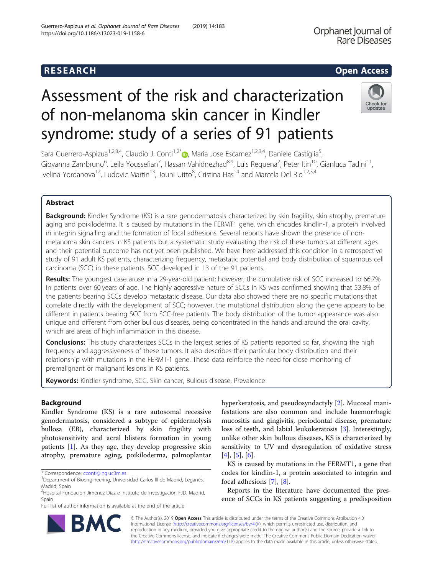# Assessment of the risk and characterization of non-melanoma skin cancer in Kindler syndrome: study of a series of 91 patients

Sara Guerrero-Aspizua<sup>1[,](http://orcid.org/0000-0003-4753-0722)2,3,4</sup>, Claudio J. Conti<sup>1,2\*</sup> <sub>(b</sub>, Maria Jose Escamez<sup>1,2,3,4</sup>, Daniele Castiglia<sup>5</sup>, , Giovanna Zambruno<sup>6</sup>, Leila Youssefian<sup>7</sup>, Hassan Vahidnezhad<sup>8,9</sup>, Luis Requena<sup>2</sup>, Peter Itin<sup>10</sup>, Gianluca Tadini<sup>11</sup>, Ivelina Yordanova<sup>12</sup>, Ludovic Martin<sup>13</sup>, Jouni Uitto<sup>8</sup>, Cristina Has<sup>14</sup> and Marcela Del Rio<sup>1,2,3,4</sup>

# Abstract

Background: Kindler Syndrome (KS) is a rare genodermatosis characterized by skin fragility, skin atrophy, premature aging and poikiloderma. It is caused by mutations in the FERMT1 gene, which encodes kindlin-1, a protein involved in integrin signalling and the formation of focal adhesions. Several reports have shown the presence of nonmelanoma skin cancers in KS patients but a systematic study evaluating the risk of these tumors at different ages and their potential outcome has not yet been published. We have here addressed this condition in a retrospective study of 91 adult KS patients, characterizing frequency, metastatic potential and body distribution of squamous cell carcinoma (SCC) in these patients. SCC developed in 13 of the 91 patients.

Results: The youngest case arose in a 29-year-old patient; however, the cumulative risk of SCC increased to 66.7% in patients over 60 years of age. The highly aggressive nature of SCCs in KS was confirmed showing that 53.8% of the patients bearing SCCs develop metastatic disease. Our data also showed there are no specific mutations that correlate directly with the development of SCC; however, the mutational distribution along the gene appears to be different in patients bearing SCC from SCC-free patients. The body distribution of the tumor appearance was also unique and different from other bullous diseases, being concentrated in the hands and around the oral cavity, which are areas of high inflammation in this disease.

**Conclusions:** This study characterizes SCCs in the largest series of KS patients reported so far, showing the high frequency and aggressiveness of these tumors. It also describes their particular body distribution and their relationship with mutations in the FERMT-1 gene. These data reinforce the need for close monitoring of premalignant or malignant lesions in KS patients.

Keywords: Kindler syndrome, SCC, Skin cancer, Bullous disease, Prevalence

# Background

Kindler Syndrome (KS) is a rare autosomal recessive genodermatosis, considered a subtype of epidermolysis bullosa (EB), characterized by skin fragility with photosensitivity and acral blisters formation in young patients [\[1](#page-13-0)]. As they age, they develop progressive skin atrophy, premature aging, poikiloderma, palmoplantar

\* Correspondence: [cconti@ing.uc3m.es](mailto:cconti@ing.uc3m.es) <sup>1</sup>

Full list of author information is available at the end of the article

hyperkeratosis, and pseudosyndactyly [[2\]](#page-13-0). Mucosal manifestations are also common and include haemorrhagic mucositis and gingivitis, periodontal disease, premature loss of teeth, and labial leukokeratosis [\[3](#page-13-0)]. Interestingly, unlike other skin bullous diseases, KS is characterized by sensitivity to UV and dysregulation of oxidative stress  $[4]$  $[4]$ ,  $[5]$  $[5]$ ,  $[6]$  $[6]$  $[6]$ .

KS is caused by mutations in the FERMT1, a gene that codes for kindlin-1, a protein associated to integrin and focal adhesions [\[7\]](#page-13-0), [\[8](#page-13-0)].

Reports in the literature have documented the presence of SCCs in KS patients suggesting a predisposition

© The Author(s). 2019 **Open Access** This article is distributed under the terms of the Creative Commons Attribution 4.0 International License [\(http://creativecommons.org/licenses/by/4.0/](http://creativecommons.org/licenses/by/4.0/)), which permits unrestricted use, distribution, and reproduction in any medium, provided you give appropriate credit to the original author(s) and the source, provide a link to the Creative Commons license, and indicate if changes were made. The Creative Commons Public Domain Dedication waiver [\(http://creativecommons.org/publicdomain/zero/1.0/](http://creativecommons.org/publicdomain/zero/1.0/)) applies to the data made available in this article, unless otherwise stated.





Orphanet Journal of **Rare Diseases** 

Department of Bioengineering, Universidad Carlos III de Madrid, Leganés, Madrid, Spain

<sup>&</sup>lt;sup>2</sup>Hospital Fundación Jiménez Díaz e Instituto de Investigación FJD, Madrid,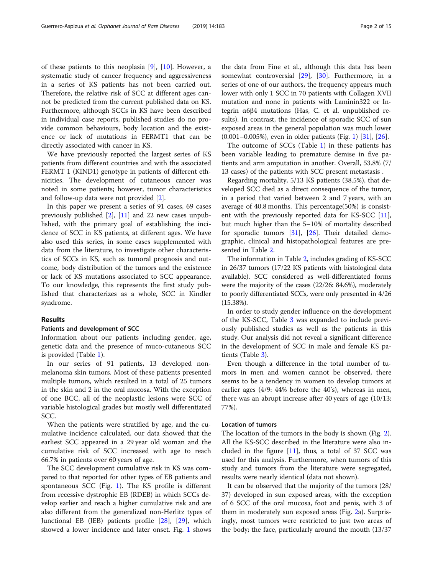of these patients to this neoplasia [[9\]](#page-13-0), [\[10\]](#page-13-0). However, a systematic study of cancer frequency and aggressiveness in a series of KS patients has not been carried out. Therefore, the relative risk of SCC at different ages cannot be predicted from the current published data on KS. Furthermore, although SCCs in KS have been described in individual case reports, published studies do no provide common behaviours, body location and the existence or lack of mutations in FERMT1 that can be directly associated with cancer in KS.

We have previously reported the largest series of KS patients from different countries and with the associated FERMT 1 (KIND1) genotype in patients of different ethnicities. The development of cutaneous cancer was noted in some patients; however, tumor characteristics and follow-up data were not provided [[2\]](#page-13-0).

In this paper we present a series of 91 cases, 69 cases previously published [[2\]](#page-13-0), [[11\]](#page-13-0) and 22 new cases unpublished, with the primary goal of establishing the incidence of SCC in KS patients, at different ages. We have also used this series, in some cases supplemented with data from the literature, to investigate other characteristics of SCCs in KS, such as tumoral prognosis and outcome, body distribution of the tumors and the existence or lack of KS mutations associated to SCC appearance. To our knowledge, this represents the first study published that characterizes as a whole, SCC in Kindler syndrome.

#### Results

#### Patients and development of SCC

Information about our patients including gender, age, genetic data and the presence of muco-cutaneous SCC is provided (Table [1\)](#page-2-0).

In our series of 91 patients, 13 developed nonmelanoma skin tumors. Most of these patients presented multiple tumors, which resulted in a total of 25 tumors in the skin and 2 in the oral mucosa. With the exception of one BCC, all of the neoplastic lesions were SCC of variable histological grades but mostly well differentiated SCC.

When the patients were stratified by age, and the cumulative incidence calculated, our data showed that the earliest SCC appeared in a 29 year old woman and the cumulative risk of SCC increased with age to reach 66.7% in patients over 60 years of age.

The SCC development cumulative risk in KS was compared to that reported for other types of EB patients and spontaneous SCC (Fig. [1](#page-7-0)). The KS profile is different from recessive dystrophic EB (RDEB) in which SCCs develop earlier and reach a higher cumulative risk and are also different from the generalized non-Herlitz types of Junctional EB (JEB) patients profile [\[28\]](#page-13-0), [\[29\]](#page-14-0), which showed a lower incidence and later onset. Fig. [1](#page-7-0) shows

the data from Fine et al., although this data has been somewhat controversial [\[29\]](#page-14-0), [[30](#page-14-0)]. Furthermore, in a series of one of our authors, the frequency appears much lower with only 1 SCC in 70 patients with Collagen XVII mutation and none in patients with Laminin322 or Integrin α6β4 mutations (Has, C. et al. unpublished results). In contrast, the incidence of sporadic SCC of sun exposed areas in the general population was much lower (0.001–0.005%), even in older patients (Fig. [1\)](#page-7-0) [[31\]](#page-14-0), [\[26\]](#page-13-0).

The outcome of SCCs (Table [1](#page-2-0)) in these patients has been variable leading to premature demise in five patients and arm amputation in another. Overall, 53.8% (7/ 13 cases) of the patients with SCC present metastasis .

Regarding mortality, 5/13 KS patients (38.5%), that developed SCC died as a direct consequence of the tumor, in a period that varied between 2 and 7 years, with an average of 40.8 months. This percentage(50%) is consistent with the previously reported data for KS-SCC [\[11](#page-13-0)], but much higher than the 5–10% of mortality described for sporadic tumors  $[31]$  $[31]$ ,  $[26]$  $[26]$ . Their detailed demographic, clinical and histopathological features are presented in Table [2.](#page-8-0)

The information in Table [2](#page-8-0), includes grading of KS-SCC in 26/37 tumors (17/22 KS patients with histological data available). SCC considered as well-differentiated forms were the majority of the cases (22/26: 84.6%), moderately to poorly differentiated SCCs, were only presented in 4/26 (15.38%).

In order to study gender influence on the development of the KS-SCC, Table [3](#page-10-0) was expanded to include previously published studies as well as the patients in this study. Our analysis did not reveal a significant difference in the development of SCC in male and female KS patients (Table [3](#page-10-0)).

Even though a difference in the total number of tumors in men and women cannot be observed, there seems to be a tendency in women to develop tumors at earlier ages (4/9: 44% before the 40's), whereas in men, there was an abrupt increase after 40 years of age (10/13: 77%).

### Location of tumors

The location of the tumors in the body is shown (Fig. [2](#page-10-0)). All the KS-SCC described in the literature were also included in the figure [[11\]](#page-13-0), thus, a total of 37 SCC was used for this analysis. Furthermore, when tumors of this study and tumors from the literature were segregated, results were nearly identical (data not shown).

It can be observed that the majority of the tumors (28/ 37) developed in sun exposed areas, with the exception of 6 SCC of the oral mucosa, foot and penis, with 3 of them in moderately sun exposed areas (Fig. [2a](#page-10-0)). Surprisingly, most tumors were restricted to just two areas of the body; the face, particularly around the mouth (13/37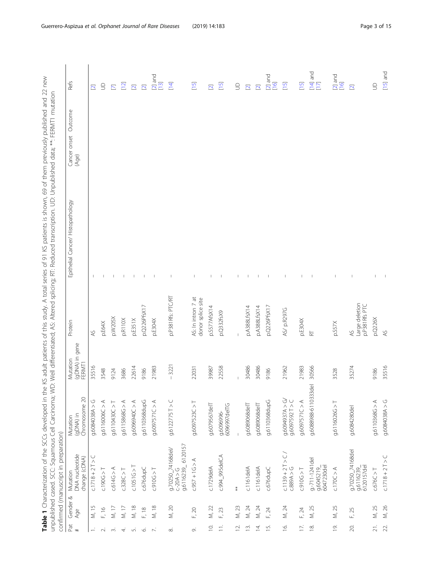| D 177<br>1 KS patients is shown 60 of them previously published and 77<br> <br> <br> <br> <br> <br> <br> <br>ia in Salang<br>- ^ A )   1,<br>in the KS adult patients of this study. A total series of 91 KS patients is s<br>)<br>J<br>ていりりこうて いーー<br>- אנגע: האנגני האנגני האנגני האנגני האנגני האנגני האנגני האנגני האנגני האנגני האנגני האנגני האנגני ה<br>$\frac{1}{2}$<br>IS and the I ( harationited) <b>I alds</b>                                                          |
|-------------------------------------------------------------------------------------------------------------------------------------------------------------------------------------------------------------------------------------------------------------------------------------------------------------------------------------------------------------------------------------------------------------------------------------------------------------------------------------|
| iated' Altered solicina: RT- Reduced transcription   ID   Innubichad data: ** EEMT1 mutation<br>$\ddot{\phantom{a}}$<br> <br> <br> <br> <br> <br> <br> <br> <br> <br><b>): うこうこう</b><br>うりり<br>j<br>ニープニンニン フノラミー<br>)<br>- 1222<br>- 1222 -<br>.<br>.<br>.<br>.<br>.<br>]<br>$\ddot{\cdot}$<br> <br>  )   )   )   )<br>  )   )   )<br>しょうそうこくしょう<br>- בספר המבור המוני המוני המוני המוני המוני המוני המוני המוני המוני המוני המוני המוני המוני המוני המוני המוני ה<br>・ ていいい ていりょう |
| ļ<br>$\overline{\phantom{a}}$<br>;<br>)<br>)<br>)<br>)<br>)<br>)<br>)<br>こくこう フィーク こくろ こくりょう<br>:<br>)<br>)<br>)<br>i                                                                                                                                                                                                                                                                                                                                                               |

<span id="page-2-0"></span>

| Pat                | Gender & | confirmed (manuscript in preparation)<br>Mutation     | Mutation                                      | Mutation                        | Protein                                 | Epithelial Cancer/ Histopathology | Outcome               | Refs                                                               |
|--------------------|----------|-------------------------------------------------------|-----------------------------------------------|---------------------------------|-----------------------------------------|-----------------------------------|-----------------------|--------------------------------------------------------------------|
| $\#$               | Age      | DNA nucleotide<br>change (cDNA)                       | (gDNA) in<br>Chromosome 20                    | (gDNA) in gene<br><b>FERMT1</b> |                                         |                                   | Cancer onset<br>(Age) |                                                                    |
|                    | M, 15    | $C.1718 + 2T > C$                                     | 0.6084038A > G                                | 35516                           | $\approx$                               |                                   |                       | $\overline{\mathbf{C}}$                                            |
| $\sim$             | F, 16    | C.190G > T                                            | 9.6116006C > A                                | 3548                            | p.E64X                                  |                                   |                       | $\supseteq$                                                        |
| S.                 | $M, 17$  | c.614G > A                                            | 16110430C > T                                 | 9124                            | p.W205X                                 |                                   |                       | $\overline{\Sigma}$                                                |
| 4.                 | $M, 17$  | c.328C > T                                            | 9.6115868G > A                                | 3686                            | p.R110X                                 |                                   |                       | $[12]$                                                             |
| Lni                | M, 18    | c.1051G > T                                           | A < 0006940C > A                              | 22614                           | p.E351X                                 |                                   |                       | $\overline{\mathbf{N}}$                                            |
| Ó.                 | F, 18    | c.676dupC                                             | 9.6110368dupG                                 | 9186                            | p.Q226PfsX17                            |                                   |                       | $\overline{\mathbf{N}}$                                            |
| $\overline{N}$     | M, 18    | C.910G > T                                            | A < 2157570                                   | 21983                           | p.E304X                                 |                                   |                       | $\begin{array}{c} \boxed{2} \text{ and} \\ \boxed{13} \end{array}$ |
| $\infty$           | M, 20    | د.−20A > G<br>g.6116239_ 6120157<br>g.70250_74168del/ | 9.6122775T > C                                | $-3221$                         | p.P381Rfs: PTC/RT                       |                                   |                       | $[14]$                                                             |
| o,                 | F, 20    | $C.957 + 1G > A$                                      | 9.6097523C > T                                | 22031                           | AS: In intron 7 at<br>donor splice site |                                   |                       | $[15]$                                                             |
| $\bar{\mathrm{o}}$ | M, 22    | c.1729delA                                            | g.6079567delT                                 | 39987                           | p.S577AfsX14                            |                                   |                       | $\overline{\mathbf{N}}$                                            |
| $\equiv$           | F, 23    | c.994_995delCA                                        | 6096997delTG<br>g.6096996-                    | 22558                           | p.Q332fsX9                              |                                   |                       | $[15]$                                                             |
| $\overline{2}$ .   | M, 23    | $\ast$                                                |                                               |                                 |                                         |                                   |                       | $\supseteq$                                                        |
| $\overline{13}$    | M, 24    | $c.1161$ delA                                         | g.6089068delT                                 | 30486                           | p.A388LfsX14                            |                                   |                       | $\overline{\mathbf{C}}$                                            |
| 4                  | M, 24    | $c.1161$ delA                                         | g.6089068delT                                 | 30486                           | p.A388LfsX14                            |                                   |                       | $\overline{\mathbf{C}}$                                            |
| $\overline{5}$     | F, 24    | c.676dupC                                             | 9.6110368dupG                                 | 9186                            | p.Q226PfsX17                            |                                   |                       | $[2]$ and<br>$[16]$                                                |
| $\overline{6}$     | M, 24    | $C.1139 + 2T > C$<br>C.889A > G                       | Q < A < E6b609G<br>$9.6097592$ T > C          | 21962                           | AS/ p.R297G                             |                                   |                       | $[15]$                                                             |
| E,                 | F, 24    | C.910G > T                                            | 9.6097571C > A                                | 21983                           | p.E304X                                 |                                   |                       | $[15]$                                                             |
| $\approx$          | M, 25    | $g - 711 - 1241$ del<br>g.6045219_<br>6047230del      | $\overline{\mathbb{Q}}$<br>g.6088988-6110333d | 30566                           | $\overleftarrow{\mathbf{r}}$            |                                   |                       | [14] and<br>[17]                                                   |
| $\bar{\omega}$     | M, 25    | c.170C > A                                            | g.6116026G > T                                | 3528                            | p.S57X                                  |                                   |                       | $[2]$ and<br>$[16]$                                                |
| 20.                | F, 25    | g.70250_74168del<br>g.6116239_<br>6120157del          | g.6084280del                                  | 35274                           | Large deletion<br>p.P381Rfs PTC<br>AS.  |                                   |                       | $\overline{\mathbf{C}}$                                            |
| 21.                | M, 25    | C.676C > T                                            | 9.6110368G > A                                | 9186                            | p.Q226X                                 |                                   |                       | $\Xi$                                                              |
| 22.                | M, 26    | $C.1718 + 2T > C$                                     | D < A86084038                                 | 35516                           | $\approx$                               |                                   |                       | $[15]$ and                                                         |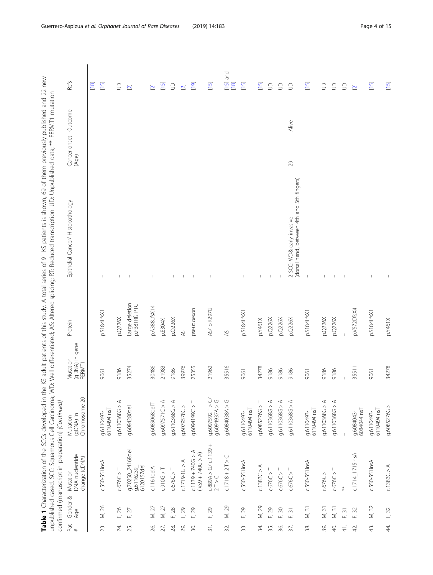| - 41 Million March 2011 - 2011 - 2011 - 2011 - 2011 - 2011 - 2011 - 2011 - 2011 - 2011 - 2011 - 2011 - 20<br>֧֦֧֦֧֦֦֧֦֧֦֦֦֧֦֧֦֦֦֧֦֦֦֚֝֝֝֝֝֝֬֝֝֬֝<br>֧֪֝<br>Ī<br>co 60 ++homoviourus views<br>$\frac{1}{2}$<br>ce of this study A total saries<br> <br> <br> <br> <br>うりこうこ<br>$+$ $\sim$ $+$ $\sim$ $\sim$<br>ļ<br>Table 1 Characterization of the SCCs developed |
|-------------------------------------------------------------------------------------------------------------------------------------------------------------------------------------------------------------------------------------------------------------------------------------------------------------------------------------------------------------------|
| $\frac{1}{2}$<br>iated: Alfared splicing: RT: Reduced transcription I In Junichald the Michael Atta of data.<br>コン・シーン こうこうこう<br>フソリ<br>うこうこう フノフェー・<br>)<br>)<br>)<br>)<br>)<br>)<br>)<br><br>)<br>-<br>)<br>$\sum_{i=1}^{N}$<br>-<br>?<br>?<br>unpublished cased. SCC: Squamous Cell Carcinor                                                                   |
| continued (manuscript in proportion) (Continuos                                                                                                                                                                                                                                                                                                                   |

|                   |                                | confirmed (manuscript in preparation) (Continued) |                                        |                                             |                                 | Table 1 Characterization of the SCCs developed in the KS adult patients of this study. A total series of 91 KS patients is shown, 69 of them previously published and 22 new<br>unpublished cased. SCC: Squamous Cell Carcinoma; Well differentiated; AS: Altered splicing; RF. Reduced transcription. UD: Unpublished data; **. FERMT1 mutation |                                  |                                                |
|-------------------|--------------------------------|---------------------------------------------------|----------------------------------------|---------------------------------------------|---------------------------------|--------------------------------------------------------------------------------------------------------------------------------------------------------------------------------------------------------------------------------------------------------------------------------------------------------------------------------------------------|----------------------------------|------------------------------------------------|
| Pat<br>$\ddot{}$  | Gender &<br>Age                | DNA nucleotide<br>change (cDNA)<br>Mutation       | (gDNA) in<br>Chromosome 20<br>Mutation | (gDNA) in gene<br>Mutation<br><b>FERMT1</b> | Protein                         | Epithelial Cancer/Histopathology                                                                                                                                                                                                                                                                                                                 | Outcome<br>Cancer onset<br>(Age) | <b>Refs</b>                                    |
|                   |                                |                                                   |                                        |                                             |                                 |                                                                                                                                                                                                                                                                                                                                                  |                                  | [18]                                           |
| 23.               | $\geqslant$<br>Σ               | c.550-551insA                                     | 6110494insT<br>g.6110493-              | 9061                                        | p.S184LfsXi                     |                                                                                                                                                                                                                                                                                                                                                  |                                  | $[15]$                                         |
| 24.               | F, 26                          | c.676C > T                                        | $\prec$<br>9.6110368G                  | 9186                                        | p.Q226X                         |                                                                                                                                                                                                                                                                                                                                                  |                                  | $\Xi$                                          |
| 25.               | F, 27                          | g.70250_74168del<br>6120157del<br>g.6116239       | g.6084280del                           | 35274                                       | Large deletion<br>p.P381Rfs PTC |                                                                                                                                                                                                                                                                                                                                                  |                                  | $\overline{\mathbf{C}}$                        |
| 26.               | M, 27                          | $c.1161$ delA                                     | g.6089068delT                          | 30486                                       | p.A388LfsX14                    |                                                                                                                                                                                                                                                                                                                                                  |                                  | $\overline{2}$                                 |
| 27.               | M, 27                          | C.910G > T                                        | ⋖<br>9.6097571C >                      | 21983                                       | p.E304X                         |                                                                                                                                                                                                                                                                                                                                                  |                                  | $\boxed{15}$                                   |
| 28.               | F, 28                          | C.676C > T                                        | 9.6110368G > A                         | 9186                                        | p.Q226X                         |                                                                                                                                                                                                                                                                                                                                                  |                                  | $\cup$                                         |
| 29.               | F, 29                          | $C.1719 - 1G > A$                                 | 9.6079578C > T                         | 39976                                       | $AS$                            |                                                                                                                                                                                                                                                                                                                                                  |                                  | $\overline{2}$                                 |
| SO.               | F, 29                          | $c.1139 + 740G > A$<br>$(N > 005 + 7406 > A)$     | T < 26014000                           | 25355                                       | pseudoexon                      |                                                                                                                                                                                                                                                                                                                                                  |                                  | $\overline{[19]}$                              |
| $\overline{31}$ . | 29<br>Ē,                       | $C.889A > G / C.1139 + 2T > C$                    | $9.6097592$ T > C<br>0.6094937A > G    | 21962                                       | AS/ p.R297G                     |                                                                                                                                                                                                                                                                                                                                                  |                                  | $[15]$                                         |
| 32.               | M, 29                          | $C.1718 + 2T > C$                                 | D < A88099030                          | 35516                                       | A <sup>S</sup>                  |                                                                                                                                                                                                                                                                                                                                                  |                                  | and<br>$\begin{array}{c} 15 \\ 18 \end{array}$ |
| 33.               | 29<br>山                        | c.550-551insA                                     | 6110494insT<br>9.6110493-              | 9061                                        | p.S184LfsXi                     |                                                                                                                                                                                                                                                                                                                                                  |                                  | $\begin{bmatrix} 15 \\ -1 \end{bmatrix}$       |
| 34.               | M, 29                          | c.1383C > A                                       | $\vdash$<br>9.6085276G                 | 34278                                       | p.Y461X                         |                                                                                                                                                                                                                                                                                                                                                  |                                  | $\overline{15}$                                |
| 35.               | F, 29                          | c.676C > T                                        | 9.6110368G > A                         | 9186                                        | p.Q226X                         |                                                                                                                                                                                                                                                                                                                                                  |                                  | $\supseteq$                                    |
| 36.               | F, 30                          | C.676C > T                                        | 9.6110368G > A                         | 9186                                        | p.Q226X                         |                                                                                                                                                                                                                                                                                                                                                  |                                  | $\cup$                                         |
| 37.               | $\overline{\mathcal{E}}$<br>Ē, | C.676C > T                                        | 9.6110368G > A                         | 9186                                        | p.0226X                         | (dorsal hand, between 4th and 5th fingers)<br>2 SCC: WD& early invasive                                                                                                                                                                                                                                                                          | Alive<br>29                      | $\supseteq$                                    |
| 38.               | $\approx$<br>$\vec{z}$         | $c.550 - 551$ insA                                | 6110494insT<br>9.6110493-              | 9061                                        | p.S184LfsX                      |                                                                                                                                                                                                                                                                                                                                                  |                                  | $[15]$                                         |
| 39.               | M, 31                          | C.676C > T                                        | g.6110368G > A                         | 9186                                        | p.0226X                         |                                                                                                                                                                                                                                                                                                                                                  |                                  | $\supseteq$                                    |
| S.                | M, 31                          | C.676C > T                                        | 9.6110368G > A                         | 9186                                        | p.Q226X                         |                                                                                                                                                                                                                                                                                                                                                  |                                  | $\Xi$                                          |
| $\frac{1}{4}$     | F, 31                          | $\ddagger$                                        |                                        |                                             |                                 |                                                                                                                                                                                                                                                                                                                                                  |                                  | $\cup$                                         |
| 42,               | F, 32                          | $c.1714$ _ 1715 insA                              | 6084044insT<br>g.6084043-              | 35511                                       | p.V572DfsX4                     |                                                                                                                                                                                                                                                                                                                                                  |                                  | $\Xi$                                          |
| 43.               | M, 32                          | $c.550 - 551$ insA                                | 6110494insT<br>g.6110493-              | 9061                                        | p.S184LfsX1                     |                                                                                                                                                                                                                                                                                                                                                  |                                  | $[15]$                                         |
| 4.                | F, 32                          | C.1383C > A                                       | 9.6085276G > T                         | 34278                                       | p.Y461X                         |                                                                                                                                                                                                                                                                                                                                                  |                                  | $[15]$                                         |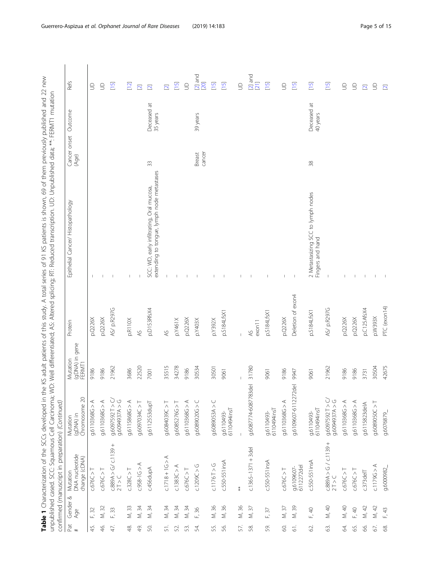Table 1 Characterization of the SCCs developed in the KS adult patients of this study. A total series of 91 KS patients is shown, 69 of them previously published and 22 new<br>unpublished cased. SCC: Squamous Cell Carcinoma; **Table 1** Characterization of the SCCs developed in the KS adult patients of this study. A total series of 91 KS patients is shown, 69 of them previously published and 22 new unpublished cased. SCC: Squamous Cell Carcinoma; WD: Well differentiated; AS: Altered splicing; RT: Reduced transcription. UD: Unpublished data; \*\*: FERMT1 mutation

|                  |                                | confirmed (manuscript in preparation) (Continued) |                                               |                                      |                   |                                                                                         |                               |                         |                         |
|------------------|--------------------------------|---------------------------------------------------|-----------------------------------------------|--------------------------------------|-------------------|-----------------------------------------------------------------------------------------|-------------------------------|-------------------------|-------------------------|
| Pat<br>$\ddot{}$ | Gender &<br>Age                | DNA nucleotide<br>change (cDNA)<br>Mutation       | Chromosome 20<br>(gDNA) in<br>Mutation        | (gDNA) in gene<br>Mutation<br>FERMT1 | Protein           | Epithelial Cancer/Histopathology                                                        | Cancer onset Outcome<br>(Age) |                         | <b>Refs</b>             |
| 45.              | F, 32                          | c.676C >                                          | g.6110368G > A                                | 9186                                 | p.0226X           |                                                                                         |                               |                         | $\Xi$                   |
| 46.              | M, 32                          | c.676C > T                                        | 9.6110368G > A                                | 9186                                 | p.0226X           |                                                                                         |                               |                         | $\supseteq$             |
| 47.              | F, 33                          | $C.889A > G/c.1139 + 2T > C$                      | 9.6097592 T > C<br>0.6094937A > G             | 21962                                | AS/ p.R297G       |                                                                                         |                               |                         | $[15]$                  |
| 48.              | M, 33                          | c.328C > T                                        | 9.6115868G > A                                | 3686                                 | p.R110X           | I                                                                                       |                               |                         | $\boxed{2}$             |
| ψ.               | M, 34                          | $C.958 - 16 > A$                                  | 7 < 24097034C > T                             | 22520                                | $\lambda$ S       |                                                                                         |                               |                         | $\overline{\mathbf{N}}$ |
| SO.              | $\frac{34}{3}$<br>$\dot{\leq}$ | c.456dupA                                         | g.6112553dupT                                 | 7001                                 | p.D153RfsX4       | extending to tongue, lymph node metastases<br>SCC: WD, early infiltrating, Oral mucosa, | 33                            | Deceased at<br>35 years | $\overline{\mathbf{C}}$ |
| 51.              | M, 34                          | $C.1718 + 1G > A$                                 | 7 < 26084039C > T                             | 35515                                | $\approx$         |                                                                                         |                               |                         | $\overline{\mathbf{2}}$ |
| 52.              | M, 34                          | C.1383C > A                                       | 9.6085276G > T                                | 34278                                | p.Y461X           |                                                                                         |                               |                         | $[15]$                  |
| 53.              | M, 34                          | c.676C > T                                        | A < 5866110366                                | 9186                                 | p.Q226X           |                                                                                         |                               |                         | $\supseteq$             |
| 24.              | F, 36                          | c.1209C > G                                       | D < 502068090 6                               | 30534                                | p.Y403X           |                                                                                         | cancer<br>Breast              | 39 years                | $[2]$ and<br>[20]       |
| 55.              | M, 36                          | C.1176T > G                                       | 9.6089053A > C                                | 30501                                | p.Y392X           |                                                                                         |                               |                         | $[15]$                  |
| 56.              | 36<br>$\vec{\geq}$             | c.550-551insA                                     | g.6110493-<br>6110494insT                     | 9061                                 | p.S184LfsX1       |                                                                                         |                               |                         | $[15]$                  |
| 57.              | M, 36                          | $\ddagger$                                        |                                               |                                      |                   |                                                                                         |                               |                         | $\cup$                  |
| 58               | $\mathcal{L}$<br>$\dot{\leq}$  | $c.1365 - 1371 + 3del$                            | $\overline{\Phi}$<br>g.6087774-6087783c       | 31780                                | exon11<br>45      |                                                                                         |                               |                         | $[2]$ and<br>[21]       |
| 59.              | $\overline{37}$<br>щĎ          | $c.550 - 551$ insA                                | 6110494insT<br>g.6110493-                     | 9061                                 | p.S184LfsX        |                                                                                         |                               |                         | $[15]$                  |
| S.               | M, 37                          | C.676C > T                                        | A < 5866110366                                | 9186                                 | p.0226X           |                                                                                         |                               |                         | $\supseteq$             |
| $\overline{5}$   | M, 39                          | g.6109607-<br>6112272del                          | $\overline{\mathbb{Q}}$<br>g.6109607-6112272c | 9947                                 | Deletion of exon4 |                                                                                         |                               |                         | $\boxed{15}$            |
| 2                | F, 40                          | c.550-551insA                                     | g.6110493-<br>6110494insT                     | 9061                                 | p.S184LfsX1       | 2 Metastasizing SCC to lymph nodes<br>Fingers and hand                                  | 38                            | Deceased at<br>40 years | $[15]$                  |
| 63.              | M, 40                          | $c.889A > G / c.1139 + 2T > C$                    | 9.6097592 T > C<br>0.6094937A > G             | 21962                                | AS/ p.R297G       |                                                                                         |                               |                         | $[15]$                  |
| Z.               | M, 40                          | C.676C > T                                        | A < 580011036                                 | 9186                                 | p.0226X           |                                                                                         |                               |                         | $\cup$                  |
| 55.              | F, 40                          | C.676C > T                                        | A < 5866110366                                | 9186                                 | p.0226X           |                                                                                         |                               |                         | $\cup$                  |
| \$               | M, 42                          | $c.373$ del $T$                                   | g.6115823delA                                 | 3731                                 | p.C125AfsX4       |                                                                                         |                               |                         | $\overline{\mathbf{2}}$ |
| 67.              | M, 42                          | c.1179G > A                                       | T < 20890500                                  | 30504                                | p.W393X           |                                                                                         |                               |                         | $\supseteq$             |
| 8                | F, 43                          | g.6000982_                                        | g.6076879                                     | 42675                                | PTC (exon14)      |                                                                                         |                               |                         | $\overline{\mathbf{C}}$ |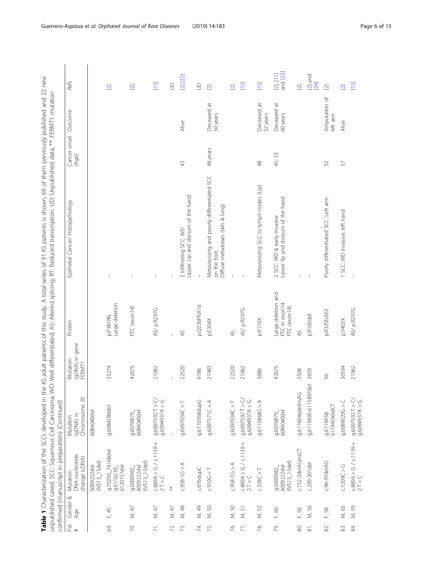Table 1 Characterization of the SCCs developed in the KS adult patients of this study. A total series of 91 KS patients is shown, 69 of them previously published and 22 new<br>Impublished cased SCC: Souamous Cell Carrinoma: W **Table 1** Characterization of the SCCs developed in the KS adult patients of this study. A total series of 91 KS patients is shown, 69 of them previously published and 22 new unpublished cased. SCC: Squamous Cell Carcinoma; WD: Well differentiated; AS: Altered splicing; RT: Reduced transcription. UD: Unpublished data; \*\*: FERMT1 mutation

|                     |                 | ^ / Pliolin IP J IP J Spolitanns リノs ipase) Dalisiondi IP<br>confirmed (manuscript in preparation) (Continued) |                                         |                                      |                                                     | D, We have a supported to the control of the control of the control of the control of the control of the control of the control of the control of the control of the control of the control of the control of the control of t |                               | $\lceil$ FENVILL TIME during |                                                                    |
|---------------------|-----------------|----------------------------------------------------------------------------------------------------------------|-----------------------------------------|--------------------------------------|-----------------------------------------------------|--------------------------------------------------------------------------------------------------------------------------------------------------------------------------------------------------------------------------------|-------------------------------|------------------------------|--------------------------------------------------------------------|
| Pat<br>$\ddot{}$    | Gender &<br>Age | DNA nucleotide<br>change (cDNA)<br>Mutation                                                                    | (gDNA) in<br>Chromosome 20<br>Mutation  | (gDNA) in gene<br>FERMT1<br>Mutation | Protein                                             | Epithelial Cancer/ Histopathology                                                                                                                                                                                              | Cancer onset Outcome<br>(Age) |                              | Refs                                                               |
|                     |                 | $(N513_15de)$<br>6009222del                                                                                    | 6084040del                              |                                      |                                                     |                                                                                                                                                                                                                                |                               |                              |                                                                    |
| S.                  | F, 45           | g.70250_74168del<br>g.6116239_<br>6120157del                                                                   | g.6084280del                            | 35274                                | Large deletion<br>p.P381Rfs                         | $\overline{1}$                                                                                                                                                                                                                 |                               |                              | $\overline{\mathbf{C}}$                                            |
| R.                  | M, 47           | $(1513 - 15d)$<br>6009222del<br>g.6000982_                                                                     | 6084040del<br>g.6076879                 | 42675                                | PTC (exon14)                                        | $\overline{1}$                                                                                                                                                                                                                 |                               |                              | $\Xi$                                                              |
| 71.                 | M, 47           | $\frac{125}{21}$ > G / c.1139 +                                                                                | 9.6097592 T > C                         | 21962                                | AS/ p.R297G                                         | $\overline{1}$                                                                                                                                                                                                                 |                               |                              | $[15]$                                                             |
| 72.                 | M, 47           | $*$                                                                                                            |                                         |                                      | $\overline{1}$                                      | T                                                                                                                                                                                                                              |                               |                              | $\Xi$                                                              |
| 73.                 | M, 48           | $C.958 - 16 > A$                                                                                               | 7 < 24C > 7                             | 22520                                | 45                                                  | Upper Lip and dorsum of the hand<br>2 Infiltrating SCC: WD                                                                                                                                                                     | 43                            | Alive                        | $[2]$ $[22]$                                                       |
| 74.                 | M, 49           | c.676dupC                                                                                                      | g.6110368dupG                           | 9186                                 | p.Q226PfsX16                                        |                                                                                                                                                                                                                                |                               |                              | $\supseteq$                                                        |
| 75.                 | M, 50           | C.910G > T                                                                                                     | A < 2157570                             | 21983                                | p.E304X                                             | Metastasizing and poorly differentiated SCC<br>Diffuse metastases (skin & lung)<br>on the foot.                                                                                                                                | 48 years                      | Deceased at<br>50 years      | $\overline{\mathbf{C}}$                                            |
| 76.                 | M, 50           | $C.958 - 16 > A$                                                                                               | T < 0.6097034C > T                      | 22520                                | $\approx$                                           |                                                                                                                                                                                                                                |                               |                              | $\boxed{2}$                                                        |
| 77.                 | 51<br>Σ         | $c.889A > G / c.1139 + 2T > C$                                                                                 | $9.6097592$ T > C<br>0.6094937A > G     | 21962                                | AS/ p.R297G                                         | $\mathbf{I}$                                                                                                                                                                                                                   |                               |                              | $[15]$                                                             |
| R.                  | M, 52           | c.328C > T                                                                                                     | 9.6115868G > A                          | 3686                                 | p.R110X                                             | Metastasizing SCC to lymph nodes (Lip)                                                                                                                                                                                         | $\frac{8}{3}$                 | Deceased at<br>52 years      | $[15]$                                                             |
| 79.                 | F, 60           | $(IVS13_1Sdel)$<br>6009222del<br>g.6000982                                                                     | $6084040$ del<br>g.6076879              | 42675                                | Large deletion and<br>PTC in exon14<br>PTC (exon14) | Lower lip and dorsum of the hand<br>2 SCC: WD & early invasive                                                                                                                                                                 | 45, 53                        | Deceased at<br>60 years      | $[2], [11]$<br>and $[23]$                                          |
| 80.                 | F, 56           | c.152-2delAGinsCT                                                                                              | g.6116046delinsAG                       | 3508                                 | $\lambda$ S                                         | $\overline{1}$                                                                                                                                                                                                                 |                               |                              | $\overline{\mathbf{C}}$                                            |
| $\overline{\infty}$ | M, 56           | c.299-301 del                                                                                                  | $\overline{\Phi}$<br>g.6115895-6115897d | 3659                                 | p.R100del                                           | $\mathsf I$                                                                                                                                                                                                                    |                               |                              | $\begin{array}{c} \boxed{2} \text{ and} \\ \boxed{24} \end{array}$ |
| 82.                 | F, 58           | c.96-97 del AG                                                                                                 | 6119459delCT<br>g.6119458-              | 8 <sup>o</sup>                       | p.R325fsX63                                         | Poorly differentiated SCC. Left arm                                                                                                                                                                                            | 52                            | Amputation of<br>left arm    | $\overline{\mathbf{C}}$                                            |
| 83.                 | M, 65           | c.1209C > G                                                                                                    | D < 50890206>                           | 30534                                | p.Y403X                                             | 1 SCC: WD Invasive, left hand                                                                                                                                                                                                  | $\sqrt{5}$                    | Alive                        | $\overline{\mathbf{C}}$                                            |
| 84.                 | M, 59           | $C.889A > G / C.1139 + 2T > C$                                                                                 | 9.6097592 T > C                         | 21962                                | AS/ p.R297G                                         |                                                                                                                                                                                                                                |                               |                              | $[15]$                                                             |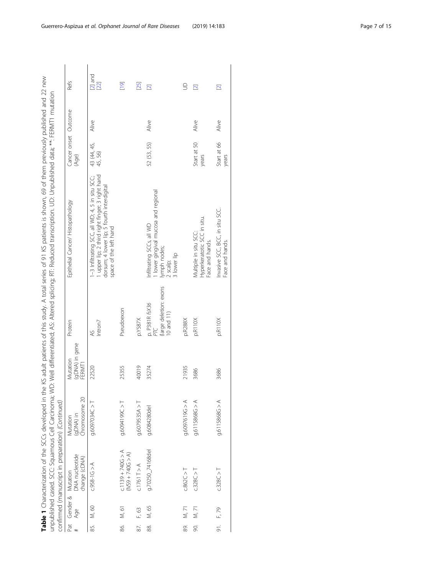Table 1 Characterization of the SCCs developed in the KS adult patients of this study. A total series of 91 KS patients is shown, 69 of them previously published and 22 new **Table 1** Characterization of the SCCs developed in the KS adult patients of this study. A total series of 91 KS patients is shown, 69 of them previously published and 22 new

|     |       |                                                                |                                        |                                      |                                                        | unpublished cased SCC: Squamonus Cell Carcinoma; Well differentiated; As: Altered splicing; Reduced transcription. UD: Unpublished data; **. FERMT1 mutation            |                               |       |                         |
|-----|-------|----------------------------------------------------------------|----------------------------------------|--------------------------------------|--------------------------------------------------------|-------------------------------------------------------------------------------------------------------------------------------------------------------------------------|-------------------------------|-------|-------------------------|
|     |       | confirmed (manuscript in preparation) (Continued)              |                                        |                                      |                                                        |                                                                                                                                                                         |                               |       |                         |
|     |       | Pat Gender & Mutation<br># Age DNA nucleotide<br>change (cDNA) | Chromosome 20<br>(gDNA) in<br>Mutation | (gDNA) in gene<br>Mutation<br>FERMT1 | Protein                                                | Epithelial Cancer/Histopathology                                                                                                                                        | Cancer onset Outcome<br>(Age) |       | Ref <sub>S</sub>        |
| 55. | M, 60 | $C.958 - 16 > A$                                               | g.6097034C > T                         | 22520                                | Intron7<br>AS                                          | upper lip; 2 third right finger; 3 right hand<br>-3 Infiltrating SCC, all WD; 4, 5 in situ SCC;<br>dorsum; 4 lower lip; 5 fourth interdigital<br>space of the left hand | 43 (44, 45,<br>45, 56)        | Alive | $[2]$ and<br>$[22]$     |
| 86. | M, 61 | $C.1139 + 740G > A$<br>(IVS9 + 740G > A)                       | T < 260140941                          | 25355                                | Pseudoexon                                             |                                                                                                                                                                         |                               |       | [19]                    |
| 87. | F, 63 | C.1761T > A                                                    | 9.6079535A > T                         | 40019                                | p.Y587X                                                |                                                                                                                                                                         |                               |       | $[25]$                  |
| 88. | M, 65 | g.70250_74168del                                               | g.6084280del                           | 35274                                | (large deletion: exons<br>p. P381R fsX36<br>10 and 11) | I lower gingival mucosa and regional<br>Infiltrating SCCs, all WD<br>lymph nodes;<br>3 lower lip<br>2 scalp;                                                            | 52 (53, 55)                   | Alive | $\overline{\mathbf{C}}$ |
| 89. | M, 71 | C.862C > T                                                     | A<561926095                            | 21935                                | p.R288X                                                |                                                                                                                                                                         |                               |       | $\supseteq$             |
| 90. | M, 71 | c.328C > T                                                     | 9.6115868G > A                         | 3686                                 | p.R110X                                                | Hyperkeratotic SCC in situ.<br>Multiple in situ SCC:<br>Face and hands.                                                                                                 | Start at 50<br>years          | Alive | $\overline{\mathbf{N}}$ |
| si. | F, 79 | c.328C > T                                                     | 9.6115868G > A                         | 3686                                 | p.R110X                                                | Invasive SCC, BCC, in situ SCC.<br>Face and hands.                                                                                                                      | Start at 66<br>years          | Alive | $\overline{2}$          |
|     |       |                                                                |                                        |                                      |                                                        |                                                                                                                                                                         |                               |       |                         |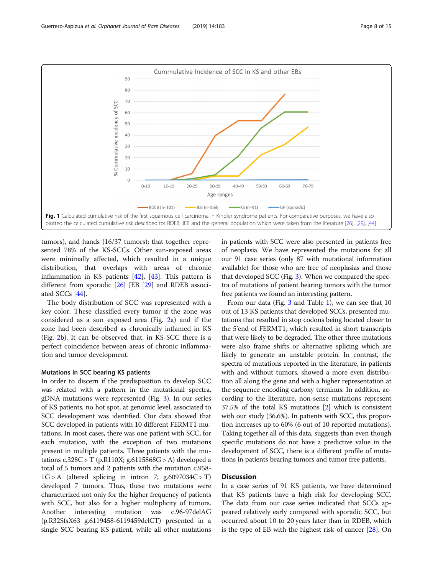<span id="page-7-0"></span>

tumors), and hands (16/37 tumors); that together represented 78% of the KS-SCCs. Other sun-exposed areas were minimally affected, which resulted in a unique distribution, that overlaps with areas of chronic inflammation in KS patients [[42\]](#page-14-0), [[43](#page-14-0)]. This pattern is different from sporadic [\[26](#page-13-0)] JEB [[29\]](#page-14-0) and RDEB associated SCCs [[44\]](#page-14-0).

The body distribution of SCC was represented with a key color. These classified every tumor if the zone was considered as a sun exposed area (Fig. [2a](#page-10-0)) and if the zone had been described as chronically inflamed in KS (Fig. [2](#page-10-0)b). It can be observed that, in KS-SCC there is a perfect coincidence between areas of chronic inflammation and tumor development.

# Mutations in SCC bearing KS patients

In order to discern if the predisposition to develop SCC was related with a pattern in the mutational spectra, gDNA mutations were represented (Fig. [3\)](#page-11-0). In our series of KS patients, no hot spot, at genomic level, associated to SCC development was identified. Our data showed that SCC developed in patients with 10 different FERMT1 mutations. In most cases, there was one patient with SCC, for each mutation, with the exception of two mutations present in multiple patients. Three patients with the mutations  $c.328C > T$  (p.R110X; g.6115868G > A) developed a total of 5 tumors and 2 patients with the mutation c.958-  $1G > A$  (altered splicing in intron 7; g.6097034C > T) developed 7 tumors. Thus, these two mutations were characterized not only for the higher frequency of patients with SCC, but also for a higher multiplicity of tumors. Another interesting mutation was c.96-97delAG (p.R32SfsX63 g.6119458-6119459delCT) presented in a single SCC bearing KS patient, while all other mutations

in patients with SCC were also presented in patients free of neoplasia. We have represented the mutations for all our 91 case series (only 87 with mutational information available) for those who are free of neoplasias and those that developed SCC (Fig. [3](#page-11-0)). When we compared the spectra of mutations of patient bearing tumors with the tumor free patients we found an interesting pattern.

From our data (Fig. [3](#page-11-0) and Table [1](#page-2-0)), we can see that 10 out of 13 KS patients that developed SCCs, presented mutations that resulted in stop codons being located closer to the 5'end of FERMT1, which resulted in short transcripts that were likely to be degraded. The other three mutations were also frame shifts or alternative splicing which are likely to generate an unstable protein. In contrast, the spectra of mutations reported in the literature, in patients with and without tumors, showed a more even distribution all along the gene and with a higher representation at the sequence encoding carboxy terminus. In addition, according to the literature, non-sense mutations represent 37.5% of the total KS mutations [\[2\]](#page-13-0) which is consistent with our study (36.6%). In patients with SCC, this proportion increases up to 60% (6 out of 10 reported mutations). Taking together all of this data, suggests than even though specific mutations do not have a predictive value in the development of SCC, there is a different profile of mutations in patients bearing tumors and tumor free patients.

# **Discussion**

In a case series of 91 KS patients, we have determined that KS patients have a high risk for developing SCC. The data from our case series indicated that SCCs appeared relatively early compared with sporadic SCC, but occurred about 10 to 20 years later than in RDEB, which is the type of EB with the highest risk of cancer [\[28](#page-13-0)]. On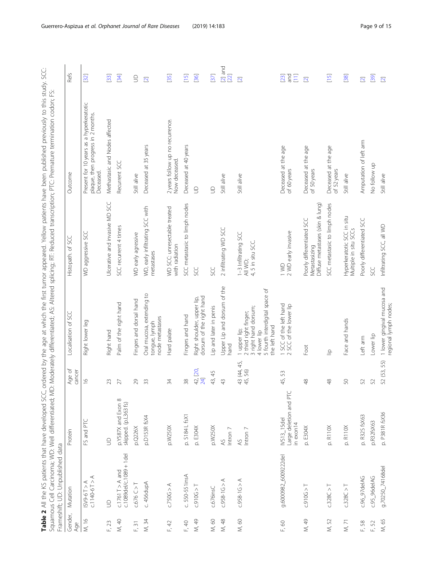<span id="page-8-0"></span>Table 2 All the KS patients that have developed SCC, ordered by the age at which the first tumor appeared. Yellow patients have been published previously to this study. SCC: **Table 2** All the KS patients that have developed SCC, ordered by the age at which the first tumor appeared. Yellow patients have been published previously to this study. SCC: Squamous Cell Carcinoma; WD: Well differentiated; MD: Moderately differentiated; AS: Altered splicing; RT: Reduced transcription; PTC: Premature termination codon; FS: Squamous Cell Carcinoma; WD: Well differentiated; MD: Moderately differentiated; AS: Altered splicing; RT: Reduced transcription; PTC: Premature termination codon; FS:

|                | Frameshift; UD: Unpublished data                    |                                                          |                       |                                                                                                                                 |                                                                                |                                                                                             |                                                        |
|----------------|-----------------------------------------------------|----------------------------------------------------------|-----------------------|---------------------------------------------------------------------------------------------------------------------------------|--------------------------------------------------------------------------------|---------------------------------------------------------------------------------------------|--------------------------------------------------------|
| Gender,<br>Age | Mutation                                            | Protein                                                  | Age of<br>cancer      | Localisation of SCC                                                                                                             | Histopath. of SCC                                                              | Outcome                                                                                     | Refs                                                   |
| M, 16          | $c.1140-6T > A$<br>$A < 19-6$                       | FS and PTC                                               | $\tilde{=}$           | Right lower leg                                                                                                                 | WD aggressive SCC                                                              | Present for 10 years as a hyperkeratotic<br>plaque, then progress in 2 months.<br>Deceased. | [32]                                                   |
| F, 23          | $\Xi$                                               | $\mathbf{S}$                                             | 23                    | Right hand                                                                                                                      | Ulcerative and invasive MD SCC                                                 | Methastasic and Nodes affected                                                              | $[33]$                                                 |
| M, 40          | $c.1089d$ el/ $c.1089 + 1d$ el<br>$c.1761T > A$ and | p.Y587X and Exon 8<br>skipped. (p.L363 fs)               | 27                    | Palm of the right hand                                                                                                          | SCC recurrent 4 times                                                          | Recurrent SCC                                                                               | [34]                                                   |
| F, 31          | $C.676C>$ T                                         | p.0226X                                                  | 29                    | Fingers and dorsal hand                                                                                                         | WD early agressive                                                             | Still alive                                                                                 | $\Xi$                                                  |
| M, 34          | c. 456dupA                                          | p.D153R fsX4                                             | 33                    | Oral mucosa, extending to<br>node metastases<br>tongue, lymph                                                                   | WD, early infiltrating SCC with<br>metastases                                  | Deceased at 35 years                                                                        | $\overline{\mathbf{C}}$                                |
| F, 42          | c.750G > A                                          | p.W250X                                                  | 34                    | Hard palate                                                                                                                     | WD SCC: unresectable treated<br>with radiation                                 | 2 years follow up no recurrence.<br>Now deceased.                                           | $[35]$                                                 |
| F, 40          | c. 550-551insA                                      | p. 5184 L fsX1                                           | 38                    | Fingers and hand                                                                                                                | SCC metastasic to limph nodes                                                  | Deceased at 40 years                                                                        | $[15]$                                                 |
| M, 49          | C.910G > T                                          | p. E304X                                                 | 42, [20,<br>24]       | dorsum of the right hand<br>Right shoulder, upper lip,                                                                          | SC<br>SC                                                                       | $\supseteq$                                                                                 | [36]                                                   |
| M, 60          | c.676insC                                           | p.W250X                                                  | 43, 45                | Lip and later in penis                                                                                                          | SC<br>S                                                                        | $\supseteq$                                                                                 | [37]                                                   |
| M, 48          | $C.958 - 1G > A$                                    | $lntron$ $7$<br>$\overline{5}$                           | $\overline{4}$        | Upper Lip and dorsum of the<br>hand                                                                                             | 2 infiltrating WD SCC                                                          | Still alive                                                                                 | $[2]$ and<br>[22]                                      |
| M, 60          | $C.958 - 1G > A$                                    | Intron 7<br>$\overline{4}$                               | 43 (44, 45,<br>45,56) | 5 fourth interdigital space of<br>3 right hand dorsum;<br>2 third right finger;<br>the left hand<br>1 upper lip;<br>4 lower lip | 1-3 Infiltrating SCC<br>4, 5 in situ SCC.<br>All WD;                           | Still alive                                                                                 | $\overline{\mathbf{C}}$                                |
| F, 60          | g.6000982_6009222del                                | Large deletion and PTC<br><b>NS13_15del</b><br>in exon14 | 45,53                 | 1 SCC of the left hand<br>SCC of the lower lip                                                                                  | 2 WD early invasive<br>1 WD                                                    | Deceased at the age<br>of 60 years                                                          | and<br>$[23]$<br>$\begin{bmatrix} 1 & 1 \end{bmatrix}$ |
| M, 49          | C.910G > T                                          | p. E304X                                                 | $\frac{8}{3}$         | Foot                                                                                                                            | Diffuse metastases (skin & lung)<br>Poorly differentiated SCC<br>Metastasizing | Deceased at the age<br>of 50 years                                                          | $\overline{\mathbf{N}}$                                |
| M, 52          | C.328C > T                                          | p. R110X                                                 | $\frac{8}{3}$         | $\triangleq$                                                                                                                    | SCC metastasic to limph nodes                                                  | Deceased at the age<br>of 52 years                                                          | $[15]$                                                 |
| $M, 71$        | c.328C > T                                          | p. R110X                                                 | S                     | Face and hands                                                                                                                  | Hyperkeratotic SCC in situ<br>Multiple in situ SCCs                            | Still alive                                                                                 | [38]                                                   |
| $-58$          | c.96_97delAG                                        | p. R32S fsX63                                            | 52                    | Left arm                                                                                                                        | Poorly differentiated SCC                                                      | Amputation of left arm                                                                      | $\overline{\mathbf{N}}$                                |
| F, 52          | c.95_96delAG                                        | p.R32fsX63                                               | 52                    | Lower lip                                                                                                                       | SSC                                                                            | No follow up                                                                                | [39]                                                   |
| M, 65          | g.70250_74168del                                    | p. P381R fsX36                                           | 52 (53, 55)           | 1 lower gingival mucosa and<br>regional lymph nodes;                                                                            | Infiltrating SCC, all WD                                                       | Still alive                                                                                 | $\Xi$                                                  |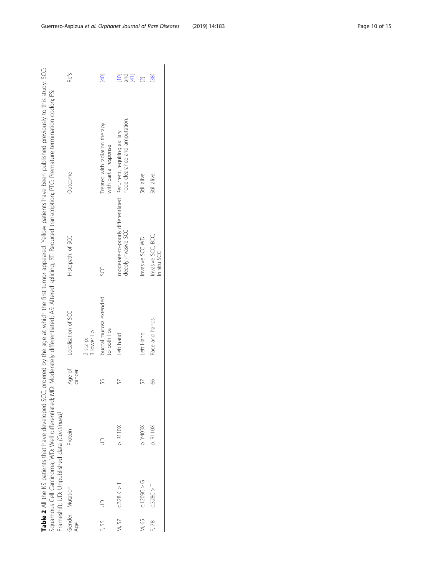Table 2 All the KS patients that have developed SCC, ordered by the age at which the first tumor appeared. Yellow patients have been published previously to this study. SCC:<br>Squamous Cell Carcinoma: WD: Well differentiated **Table 2** All the KS patients that have developed SCC, ordered by the age at which the first tumor appeared. Yellow patients have been published previously to this study. SCC: Squamous Cell Carcinoma; WD: Well differentiated; MD: Moderately differentiated; AS: Altered splicing; RT: Reduced transcription; PTC: Premature termination codon; FS: Souar

|       | Frameshift; UD: Unpublished data (Continued) |          |                  |                                        |                                                                                        | shows the construction of the statement of the state of the state of the state of the state of the state of the state of the state of the state of the state of the state of the state of the state of the state of the state |                         |
|-------|----------------------------------------------|----------|------------------|----------------------------------------|----------------------------------------------------------------------------------------|-------------------------------------------------------------------------------------------------------------------------------------------------------------------------------------------------------------------------------|-------------------------|
| Age   | Gender, Mutation                             | Protein  | Age of<br>cancer | Localisation of SCC                    | Histopath. of SCC                                                                      | Outcome                                                                                                                                                                                                                       | Refs                    |
|       |                                              |          |                  | 3 lower lip<br>2 scalp;                |                                                                                        |                                                                                                                                                                                                                               |                         |
| r, 55 |                                              |          | 55               | buccal mucosa extended<br>to both lips | g                                                                                      | Treated with radiation therapy<br>with partial response                                                                                                                                                                       | [40]                    |
|       | $M, 57$ $C.328 C > T$                        | p. R110X | 57               | Left hand                              | moderate-to-poorly differentiated Recurrent, requiring axillary<br>deeply invasive SCC | node clearance and amputation.                                                                                                                                                                                                | pre<br>S<br>$[41]$      |
| M, 65 | C.1209C > G                                  | p. Y403X | 57               | Left Hand                              | Invasive SCC WD                                                                        | Still alive                                                                                                                                                                                                                   | $\overline{\mathbf{2}}$ |
| F, 78 | C.328C > T                                   | p. R110X | 8                | Face and hands                         | Invasive SCC, BCC,<br>In situ SCC                                                      | Still alive                                                                                                                                                                                                                   | [38]                    |
|       |                                              |          |                  |                                        |                                                                                        |                                                                                                                                                                                                                               |                         |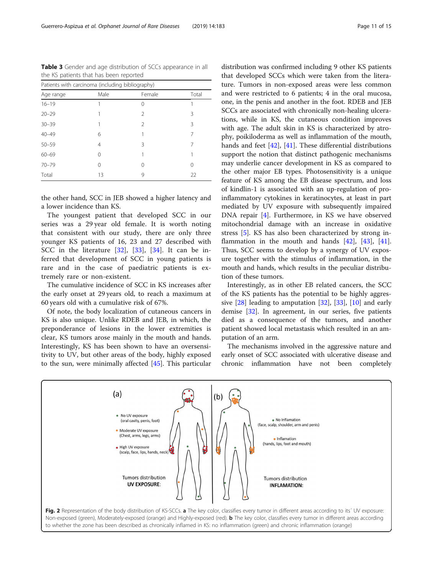| Patients with carcinoma (including bibliography) |      |                |       |
|--------------------------------------------------|------|----------------|-------|
| Age range                                        | Male | Female         | Total |
| $16 - 19$                                        |      | 0              |       |
| $20 - 29$                                        |      | $\mathcal{P}$  | 3     |
| $30 - 39$                                        |      | $\mathfrak{D}$ | 3     |
| $40 - 49$                                        | 6    |                | 7     |
| $50 - 59$                                        | 4    | ζ              |       |
| $60 - 69$                                        | 0    |                |       |
| $70 - 79$                                        | 0    | 0              | 0     |
| Total                                            | 13   | 9              | 22    |

<span id="page-10-0"></span>Table 3 Gender and age distribution of SCCs appearance in all the KS patients that has been reported

the other hand, SCC in JEB showed a higher latency and a lower incidence than KS.

The youngest patient that developed SCC in our series was a 29 year old female. It is worth noting that consistent with our study, there are only three younger KS patients of 16, 23 and 27 described with SCC in the literature [[32\]](#page-14-0), [\[33](#page-14-0)], [[34\]](#page-14-0). It can be inferred that development of SCC in young patients is rare and in the case of paediatric patients is extremely rare or non-existent.

The cumulative incidence of SCC in KS increases after the early onset at 29 years old, to reach a maximum at 60 years old with a cumulative risk of 67%.

Of note, the body localization of cutaneous cancers in KS is also unique. Unlike RDEB and JEB, in which, the preponderance of lesions in the lower extremities is clear, KS tumors arose mainly in the mouth and hands. Interestingly, KS has been shown to have an oversensitivity to UV, but other areas of the body, highly exposed to the sun, were minimally affected [[45\]](#page-14-0). This particular

distribution was confirmed including 9 other KS patients that developed SCCs which were taken from the literature. Tumors in non-exposed areas were less common and were restricted to 6 patients; 4 in the oral mucosa, one, in the penis and another in the foot. RDEB and JEB SCCs are associated with chronically non-healing ulcerations, while in KS, the cutaneous condition improves with age. The adult skin in KS is characterized by atrophy, poikiloderma as well as inflammation of the mouth, hands and feet [[42\]](#page-14-0), [[41](#page-14-0)]. These differential distributions support the notion that distinct pathogenic mechanisms may underlie cancer development in KS as compared to the other major EB types. Photosensitivity is a unique feature of KS among the EB disease spectrum, and loss of kindlin-1 is associated with an up-regulation of proinflammatory cytokines in keratinocytes, at least in part mediated by UV exposure with subsequently impaired DNA repair [\[4](#page-13-0)]. Furthermore, in KS we have observed mitochondrial damage with an increase in oxidative stress [[5](#page-13-0)]. KS has also been characterized by strong inflammation in the mouth and hands  $[42]$  $[42]$  $[42]$ ,  $[43]$  $[43]$  $[43]$ ,  $[41]$  $[41]$ . Thus, SCC seems to develop by a synergy of UV exposure together with the stimulus of inflammation, in the mouth and hands, which results in the peculiar distribution of these tumors.

Interestingly, as in other EB related cancers, the SCC of the KS patients has the potential to be highly aggressive  $[28]$  $[28]$  $[28]$  leading to amputation  $[32]$  $[32]$ ,  $[33]$  $[33]$  $[33]$ ,  $[10]$  $[10]$  and early demise [\[32](#page-14-0)]. In agreement, in our series, five patients died as a consequence of the tumors, and another patient showed local metastasis which resulted in an amputation of an arm.

The mechanisms involved in the aggressive nature and early onset of SCC associated with ulcerative disease and chronic inflammation have not been completely

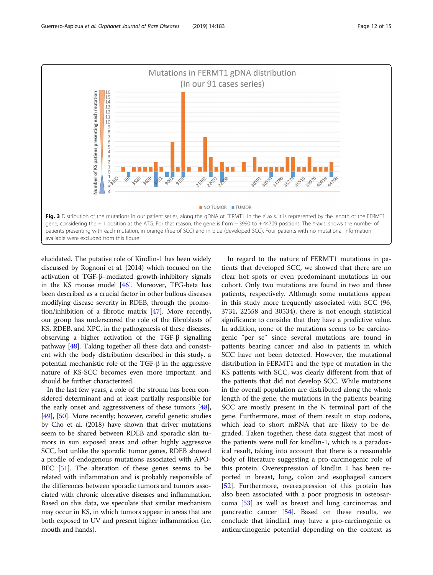<span id="page-11-0"></span>

elucidated. The putative role of Kindlin-1 has been widely discussed by Rognoni et al. (2014) which focused on the activation of TGF-β–mediated growth-inhibitory signals in the KS mouse model [[46](#page-14-0)]. Moreover, TFG-beta has been described as a crucial factor in other bullous diseases modifying disease severity in RDEB, through the promotion/inhibition of a fibrotic matrix [\[47\]](#page-14-0). More recently, our group has underscored the role of the fibroblasts of KS, RDEB, and XPC, in the pathogenesis of these diseases, observing a higher activation of the TGF-β signalling pathway [\[48](#page-14-0)]. Taking together all these data and consistent with the body distribution described in this study, a potential mechanistic role of the TGF-β in the aggressive nature of KS-SCC becomes even more important, and should be further characterized.

In the last few years, a role of the stroma has been considered determinant and at least partially responsible for the early onset and aggressiveness of these tumors [[48](#page-14-0)], [[49](#page-14-0)], [\[50\]](#page-14-0). More recently; however, careful genetic studies by Cho et al. (2018) have shown that driver mutations seem to be shared between RDEB and sporadic skin tumors in sun exposed areas and other highly aggressive SCC, but unlike the sporadic tumor genes, RDEB showed a profile of endogenous mutations associated with APO-BEC [\[51\]](#page-14-0). The alteration of these genes seems to be related with inflammation and is probably responsible of the differences between sporadic tumors and tumors associated with chronic ulcerative diseases and inflammation. Based on this data, we speculate that similar mechanism may occur in KS, in which tumors appear in areas that are both exposed to UV and present higher inflammation (i.e. mouth and hands).

In regard to the nature of FERMT1 mutations in patients that developed SCC, we showed that there are no clear hot spots or even predominant mutations in our cohort. Only two mutations are found in two and three patients, respectively. Although some mutations appear in this study more frequently associated with SCC (96, 3731, 22558 and 30534), there is not enough statistical significance to consider that they have a predictive value. In addition, none of the mutations seems to be carcinogenic ¨per se¨ since several mutations are found in patients bearing cancer and also in patients in which SCC have not been detected. However, the mutational distribution in FERMT1 and the type of mutation in the KS patients with SCC, was clearly different from that of the patients that did not develop SCC. While mutations in the overall population are distributed along the whole length of the gene, the mutations in the patients bearing SCC are mostly present in the N terminal part of the gene. Furthermore, most of them result in stop codons, which lead to short mRNA that are likely to be degraded. Taken together, these data suggest that most of the patients were null for kindlin-1, which is a paradoxical result, taking into account that there is a reasonable body of literature suggesting a pro-carcinogenic role of this protein. Overexpression of kindlin 1 has been reported in breast, lung, colon and esophageal cancers [[52\]](#page-14-0). Furthermore, overexpression of this protein has also been associated with a poor prognosis in osteosarcoma [[53\]](#page-14-0) as well as breast and lung carcinomas and pancreatic cancer [\[54](#page-14-0)]. Based on these results, we conclude that kindlin1 may have a pro-carcinogenic or anticarcinogenic potential depending on the context as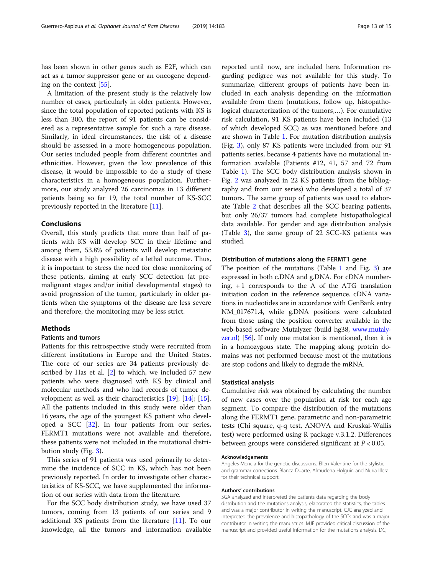has been shown in other genes such as E2F, which can act as a tumor suppressor gene or an oncogene depending on the context [\[55](#page-14-0)].

A limitation of the present study is the relatively low number of cases, particularly in older patients. However, since the total population of reported patients with KS is less than 300, the report of 91 patients can be considered as a representative sample for such a rare disease. Similarly, in ideal circumstances, the risk of a disease should be assessed in a more homogeneous population. Our series included people from different countries and ethnicities. However, given the low prevalence of this disease, it would be impossible to do a study of these characteristics in a homogeneous population. Furthermore, our study analyzed 26 carcinomas in 13 different patients being so far 19, the total number of KS-SCC previously reported in the literature [\[11\]](#page-13-0).

#### Conclusions

Overall, this study predicts that more than half of patients with KS will develop SCC in their lifetime and among them, 53.8% of patients will develop metastatic disease with a high possibility of a lethal outcome. Thus, it is important to stress the need for close monitoring of these patients, aiming at early SCC detection (at premalignant stages and/or initial developmental stages) to avoid progression of the tumor, particularly in older patients when the symptoms of the disease are less severe and therefore, the monitoring may be less strict.

# **Methods**

#### Patients and tumors

Patients for this retrospective study were recruited from different institutions in Europe and the United States. The core of our series are 34 patients previously described by Has et al. [[2\]](#page-13-0) to which, we included 57 new patients who were diagnosed with KS by clinical and molecular methods and who had records of tumor development as well as their characteristics [\[19](#page-13-0)]; [[14\]](#page-13-0); [\[15](#page-13-0)]. All the patients included in this study were older than 16 years, the age of the youngest KS patient who developed a SCC [\[32](#page-14-0)]. In four patients from our series, FERMT1 mutations were not available and therefore, these patients were not included in the mutational distribution study (Fig. [3\)](#page-11-0).

This series of 91 patients was used primarily to determine the incidence of SCC in KS, which has not been previously reported. In order to investigate other characteristics of KS-SCC, we have supplemented the information of our series with data from the literature.

For the SCC body distribution study, we have used 37 tumors, coming from 13 patients of our series and 9 additional KS patients from the literature [[11\]](#page-13-0). To our knowledge, all the tumors and information available

reported until now, are included here. Information regarding pedigree was not available for this study. To summarize, different groups of patients have been included in each analysis depending on the information available from them (mutations, follow up, histopathological characterization of the tumors,…). For cumulative risk calculation, 91 KS patients have been included (13 of which developed SCC) as was mentioned before and are shown in Table [1.](#page-2-0) For mutation distribution analysis (Fig. [3](#page-11-0)), only 87 KS patients were included from our 91 patients series, because 4 patients have no mutational information available (Patients #12, 41, 57 and 72 from Table [1\)](#page-2-0). The SCC body distribution analysis shown in Fig. [2](#page-10-0) was analyzed in 22 KS patients (from the bibliography and from our series) who developed a total of 37 tumors. The same group of patients was used to elaborate Table [2](#page-8-0) that describes all the SCC bearing patients, but only 26/37 tumors had complete histopathological data available. For gender and age distribution analysis (Table [3](#page-10-0)), the same group of 22 SCC-KS patients was studied.

#### Distribution of mutations along the FERMT1 gene

The position of the mutations (Table [1](#page-2-0) and Fig. [3\)](#page-11-0) are expressed in both c.DNA and g.DNA. For cDNA numbering,  $+1$  corresponds to the A of the ATG translation initiation codon in the reference sequence. cDNA variations in nucleotides are in accordance with GenBank entry NM\_017671.4, while g.DNA positions were calculated from those using the position converter available in the web-based software Mutalyzer (build hg38, [www.mutaly](http://www.mutalyzer.nl)[zer.nl\)](http://www.mutalyzer.nl) [\[56](#page-14-0)]. If only one mutation is mentioned, then it is in a homozygous state. The mapping along protein domains was not performed because most of the mutations are stop codons and likely to degrade the mRNA.

#### Statistical analysis

Cumulative risk was obtained by calculating the number of new cases over the population at risk for each age segment. To compare the distribution of the mutations along the FERMT1 gene, parametric and non-parametric tests (Chi square, q-q test, ANOVA and Kruskal-Wallis test) were performed using R package v.3.1.2. Differences between groups were considered significant at  $P < 0.05$ .

#### Acknowledgements

Angeles Mencia for the genetic discussions. Ellen Valentine for the stylistic and grammar corrections. Blanca Duarte, Almudena Holguín and Nuria Illera for their technical support.

#### Authors' contributions

SGA analyzed and interpreted the patients data regarding the body distribution and the mutations analysis, elaborated the statistics, the tables and was a major contributor in writing the manuscript. CJC analyzed and interpreted the prevalence and histopathology of the SCCs and was a major contributor in writing the manuscript. MJE provided critical discussion of the manuscript and provided useful information for the mutations analysis. DC,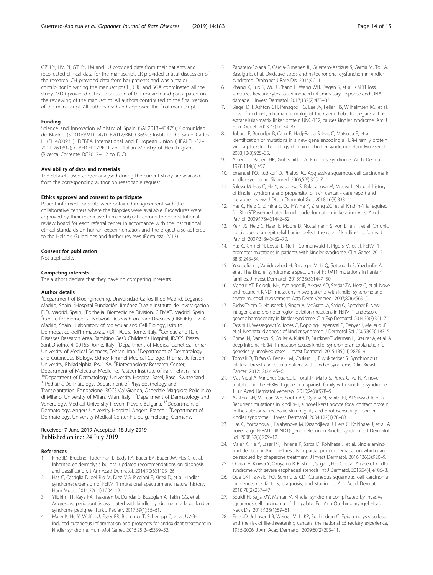<span id="page-13-0"></span>GZ, LY, HV, PI, GT, IY, LM and JU provided data from their patients and recollected clinical data for the manuscript. LR provided critical discussion of the research. CH provided data from her patients and was a major contributor in writing the manuscript.CH, CJC and SGA coordinated all the study. MDR provided critical discussion of the research and participated on the reviewing of the manuscript. All authors contributed to the final version of the manuscript. All authors read and approved the final manuscript.

#### Funding

Science and Innovation Ministry of Spain (SAF2013–43475); Comunidad de Madrid (S2010/BMD-2420, B2017/BMD-3692); Instituto de Salud Carlos III (PI14/00931); DEBRA International and European Union (HEALTH-F2– 2011-261392); CIBER-ER17PE01 and Italian Ministry of Health grant (Ricerca Corrente RC2017–1.2 to D.C).

#### Availability of data and materials

The datasets used and/or analysed during the current study are available from the corresponding author on reasonable request.

## Ethics approval and consent to participate

Patient informed consents were obtained in agreement with the collaborative centers where the biopsies were available. Procedures were approved by their respective human subjects committee or institutional review board for each referral center in accordance with the institutional ethical standards on human experimentation and the project also adhered to the Helsinki Guidelines and further reviews (Fortaleza, 2013).

#### Consent for publication

Not applicable.

#### Competing interests

The authors declare that they have no competing interests.

#### Author details

<sup>1</sup>Department of Bioengineering, Universidad Carlos III de Madrid, Leganés, Madrid, Spain. <sup>2</sup> Hospital Fundación Jiménez Díaz e Instituto de Investigación FJD, Madrid, Spain. <sup>3</sup>Epithelial Biomedicine Division, CIEMAT, Madrid, Spain.<br><sup>4</sup>Contre for Biomedical Network Besoarch op Baro Disoases (CIRERER), 1771 <sup>4</sup> Centre for Biomedical Network Research on Rare Diseases (CIBERER), U714 Madrid, Spain. <sup>5</sup>Laboratory of Molecular and Cell Biology, Istituto Dermopatico dell'Immacolata (IDI)-IRCCS, Rome, Italy. <sup>6</sup>Genetic and Rare Diseases Research Area, Bambino Gesù Children's Hospital, IRCCS, Piazza Sant'Onofrio, 4, 00165 Rome, Italy. <sup>7</sup>Department of Medical Genetics, Tehran University of Medical Sciences, Tehran, Iran. <sup>8</sup>Department of Dermatology and Cutaneous Biology, Sidney Kimmel Medical College, Thomas Jefferson University, Philadelphia, PA, USA. <sup>9</sup> Biotechnology Research Center, Department of Molecular Medicine, Pasteur Institute of Iran, Tehran, Iran. <sup>10</sup>Department of Dermatology, University Hospital Basel, Basel, Switzerland. <sup>11</sup>Pediatric Dermatology, Department of Physiopathology and Transplantation, Fondazione IRCCS Ca' Granda, Ospedale Maggiore Policlinico di Milano, University of Milan, Milan, Italy. 12Department of Dermatology and Venerology, Medical University Pleven, Pleven, Bulgaria. <sup>13</sup>Department of Dermatology, Angers University Hospital, Angers, France. 14Department of Dermatology, University Medical Center Freiburg, Freiburg, Germany.

### Received: 7 June 2019 Accepted: 18 July 2019 Published online: 24 July 2019

#### References

- Fine JD, Bruckner-Tuderman L, Eady RA, Bauer EA, Bauer JW, Has C, et al. Inherited epidermolysis bullosa: updated recommendations on diagnosis and classification. J Am Acad Dermatol. 2014;70(6):1103–26.
- 2. Has C, Castiglia D, del Rio M, Diez MG, Piccinni E, Kiritsi D, et al. Kindler syndrome: extension of FERMT1 mutational spectrum and natural history. Hum Mutat. 2011;32(11):1204–12.
- 3. Yildirim TT, Kaya FA, Taskesen M, Dundar S, Bozoglan A, Tekin GG, et al. Aggressive periodontitis associated with kindler syndrome in a large kindler syndrome pedigree. Turk J Pediatr. 2017;59(1):56–61.
- Maier K, He Y, Wolfle U, Esser PR, Brummer T, Schempp C, et al. UV-Binduced cutaneous inflammation and prospects for antioxidant treatment in kindler syndrome. Hum Mol Genet. 2016;25(24):5339–52.
- 5. Zapatero-Solana E, Garcia-Gimenez JL, Guerrero-Aspizua S, Garcia M, Toll A, Baselga E, et al. Oxidative stress and mitochondrial dysfunction in kindler syndrome. Orphanet J Rare Dis. 2014;9:211.
- 6. Zhang X, Luo S, Wu J, Zhang L, Wang WH, Degan S, et al. KIND1 loss sensitizes keratinocytes to UV-induced inflammatory response and DNA damage. J Invest Dermatol. 2017;137(2):475–83.
- 7. Siegel DH, Ashton GH, Penagos HG, Lee JV, Feiler HS, Wilhelmsen KC, et al. Loss of kindlin-1, a human homolog of the Caenorhabditis elegans actinextracellular-matrix linker protein UNC-112, causes kindler syndrome. Am J Hum Genet. 2003;73(1):174–87.
- Jobard F, Bouadjar B, Caux F, Hadj-Rabia S, Has C, Matsuda F, et al. Identification of mutations in a new gene encoding a FERM family protein with a pleckstrin homology domain in kindler syndrome. Hum Mol Genet. 2003;12(8):925–35.
- 9. Alper JC, Baden HP, Goldsmith LA. Kindler's syndrome. Arch Dermatol. 1978;114(3):457.
- 10. Emanuel PO, Rudikoff D, Phelps RG. Aggressive squamous cell carcinoma in kindler syndrome. Skinmed. 2006;5(6):305–7.
- 11. Saleva M, Has C, He Y, Vassileva S, Balabanova M, Miteva L. Natural history of kindler syndrome and propensity for skin cancer - case report and literature review. J Dtsch Dermatol Ges. 2018;16(3):338–41.
- 12. Has C, Herz C, Zimina E, Qu HY, He Y, Zhang ZG, et al. Kindlin-1 is required for RhoGTPase-mediated lamellipodia formation in keratinocytes. Am J Pathol. 2009;175(4):1442–52.
- 13. Kern JS, Herz C, Haan E, Moore D, Nottelmann S, von Lilien T, et al. Chronic colitis due to an epithelial barrier defect: the role of kindlin-1 isoforms. J Pathol. 2007;213(4):462–70.
- 14. Has C, Chmel N, Levati L, Neri I, Sonnenwald T, Pigors M, et al. FERMT1 promoter mutations in patients with kindler syndrome. Clin Genet. 2015; 88(3):248–54.
- 15. Youssefian L, Vahidnezhad H, Barzegar M, Li Q, Sotoudeh S, Yazdanfar A, et al. The kindler syndrome: a spectrum of FERMT1 mutations in Iranian families. J Invest Dermatol. 2015;135(5):1447–50.
- 16. Mansur AT, Elcioglu NH, Aydingoz IE, Akkaya AD, Serdar ZA, Herz C, et al. Novel and recurrent KIND1 mutations in two patients with kindler syndrome and severe mucosal involvement. Acta Derm Venereol. 2007;87(6):563–5.
- 17. Fuchs-Telem D, Nousbeck J, Singer A, McGrath JA, Sarig O, Sprecher E. New intragenic and promoter region deletion mutations in FERMT1 underscore genetic homogeneity in kindler syndrome. Clin Exp Dermatol. 2014;39(3):361–7.
- 18. Fassihi H, Wessagowit V, Jones C, Dopping-Hepenstal P, Denyer J, Mellerio JE, et al. Neonatal diagnosis of kindler syndrome. J Dermatol Sci. 2005;39(3):183–5.
- 19. Chmel N, Danescu S, Gruler A, Kiritsi D, Bruckner-Tuderman L, Kreuter A, et al. A deep-Intronic FERMT1 mutation causes kindler syndrome: an explanation for genetically unsolved cases. J Invest Dermatol. 2015;135(11):2876–9.
- 20. Tonyali O, Tufan G, Benekli M, Coskun U, Buyukberber S. Synchronous bilateral breast cancer in a patient with kindler syndrome. Clin Breast Cancer. 2012;12(2):145–6.
- 21. Mas-Vidal A, Minones-Suarez L, Toral JF, Mallo S, Perez-Oliva N. A novel mutation in the FERMT1 gene in a Spanish family with Kindler's syndrome. J Eur Acad Dermatol Venereol. 2010;24(8):978–9.
- 22. Ashton GH, McLean WH, South AP, Oyama N, Smith FJ, Al-Suwaid R, et al. Recurrent mutations in kindlin-1, a novel keratinocyte focal contact protein, in the autosomal recessive skin fragility and photosensitivity disorder, kindler syndrome. J Invest Dermatol. 2004;122(1):78–83.
- 23. Has C, Yordanova I, Balabanova M, Kazandjieva J, Herz C, Kohlhase J, et al. A novel large FERMT1 (KIND1) gene deletion in Kindler syndrome. J Dermatol Sci. 2008;52(3):209–12.
- 24. Maier K, He Y, Esser PR, Thriene K, Sarca D, Kohlhase J, et al. Single amino acid deletion in Kindlin-1 results in partial protein degradation which can be rescued by chaperone treatment. J Invest Dermatol. 2016;136(5):920–9.
- 25. Ohashi A, Kiniwa Y, Okuyama R, Kosho T, Suga T, Has C, et al. A case of kindler syndrome with severe esophageal stenosis. Int J Dermatol. 2015;54(4):e106–8.
- 26. Que SKT, Zwald FO, Schmults CD. Cutaneous squamous cell carcinoma: incidence, risk factors, diagnosis, and staging. J Am Acad Dermatol. 2018;78(2):237–47.
- 27. Souldi H, Bajja MY, Mahtar M. Kindler syndrome complicated by invasive squamous cell carcinoma of the palate. Eur Ann Otorhinolaryngol Head Neck Dis. 2018;135(1):59–61.
- 28. Fine JD, Johnson LB, Weiner M, Li KP, Suchindran C. Epidermolysis bullosa and the risk of life-threatening cancers: the national EB registry experience, 1986-2006. J Am Acad Dermatol. 2009;60(2):203–11.